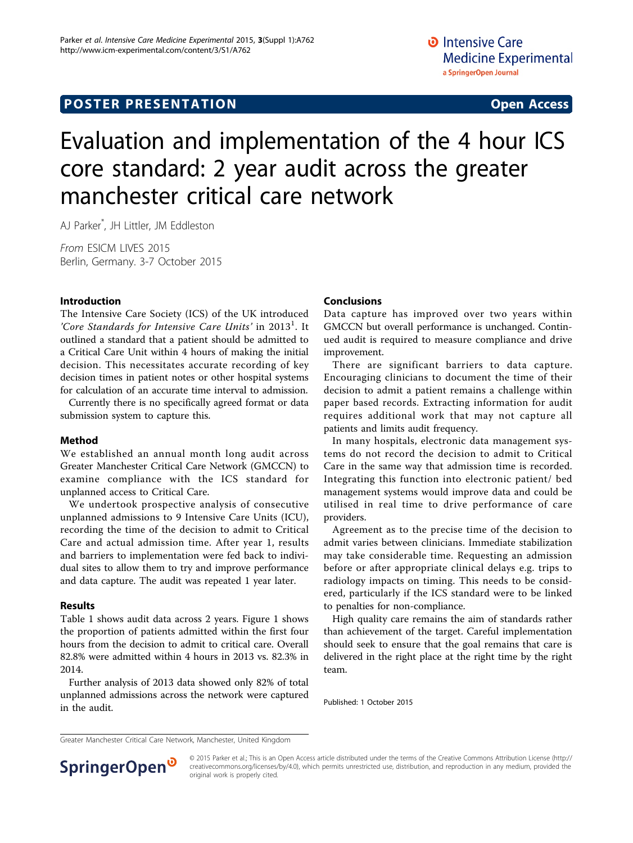# **POSTER PRESENTATION CONSUMING ACCESS**

# Evaluation and implementation of the 4 hour ICS core standard: 2 year audit across the greater manchester critical care network

AJ Parker\* , JH Littler, JM Eddleston

From ESICM LIVES 2015 Berlin, Germany. 3-7 October 2015

#### Introduction

The Intensive Care Society (ICS) of the UK introduced 'Core Standards for Intensive Care Units' in  $2013<sup>1</sup>$ . It outlined a standard that a patient should be admitted to a Critical Care Unit within 4 hours of making the initial decision. This necessitates accurate recording of key decision times in patient notes or other hospital systems for calculation of an accurate time interval to admission.

Currently there is no specifically agreed format or data submission system to capture this.

#### Method

We established an annual month long audit across Greater Manchester Critical Care Network (GMCCN) to examine compliance with the ICS standard for unplanned access to Critical Care.

We undertook prospective analysis of consecutive unplanned admissions to 9 Intensive Care Units (ICU), recording the time of the decision to admit to Critical Care and actual admission time. After year 1, results and barriers to implementation were fed back to individual sites to allow them to try and improve performance and data capture. The audit was repeated 1 year later.

### Results

Table [1](#page-1-0) shows audit data across 2 years. Figure [1](#page-1-0) shows the proportion of patients admitted within the first four hours from the decision to admit to critical care. Overall 82.8% were admitted within 4 hours in 2013 vs. 82.3% in 2014.

Further analysis of 2013 data showed only 82% of total unplanned admissions across the network were captured in the audit.

#### Conclusions

Data capture has improved over two years within GMCCN but overall performance is unchanged. Continued audit is required to measure compliance and drive improvement.

There are significant barriers to data capture. Encouraging clinicians to document the time of their decision to admit a patient remains a challenge within paper based records. Extracting information for audit requires additional work that may not capture all patients and limits audit frequency.

In many hospitals, electronic data management systems do not record the decision to admit to Critical Care in the same way that admission time is recorded. Integrating this function into electronic patient/ bed management systems would improve data and could be utilised in real time to drive performance of care providers.

Agreement as to the precise time of the decision to admit varies between clinicians. Immediate stabilization may take considerable time. Requesting an admission before or after appropriate clinical delays e.g. trips to radiology impacts on timing. This needs to be considered, particularly if the ICS standard were to be linked to penalties for non-compliance.

High quality care remains the aim of standards rather than achievement of the target. Careful implementation should seek to ensure that the goal remains that care is delivered in the right place at the right time by the right team.

Published: 1 October 2015

Greater Manchester Critical Care Network, Manchester, United Kingdom



© 2015 Parker et al.; This is an Open Access article distributed under the terms of the Creative Commons Attribution License [\(http://](http://creativecommons.org/licenses/by/4.0) [creativecommons.org/licenses/by/4.0](http://creativecommons.org/licenses/by/4.0)), which permits unrestricted use, distribution, and reproduction in any medium, provided the original work is properly cited.